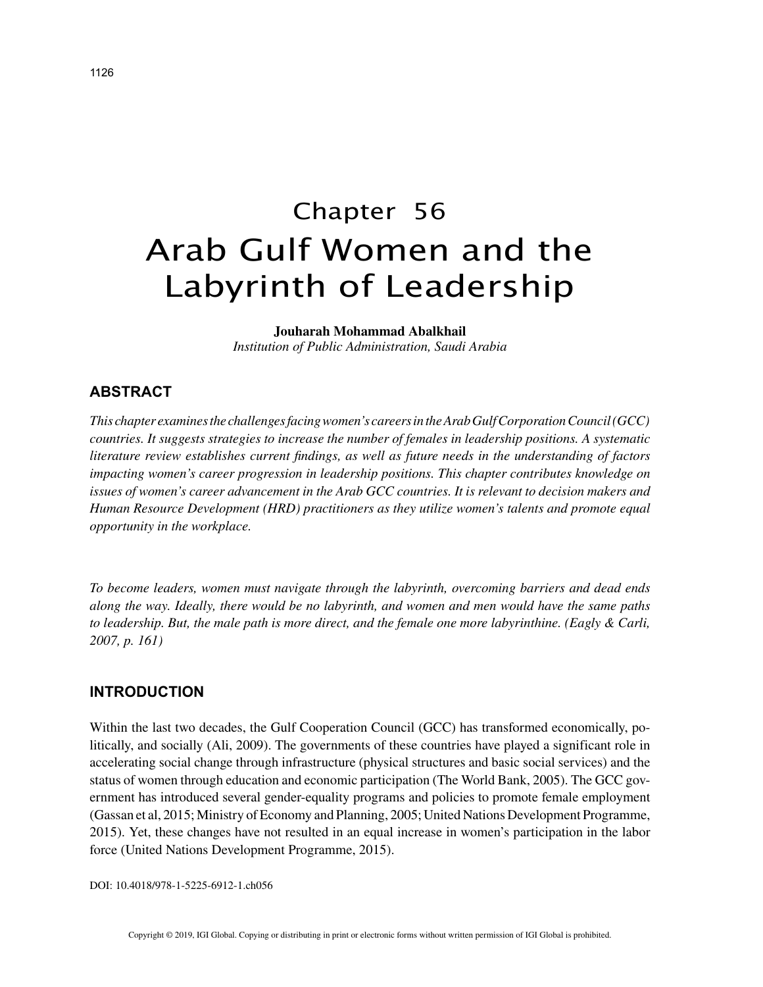# Chapter 56 Arab Gulf Women and the Labyrinth of Leadership

#### **Jouharah Mohammad Abalkhail**

*Institution of Public Administration, Saudi Arabia*

# **ABSTRACT**

*This chapter examines the challenges facing women's careers in the Arab Gulf Corporation Council (GCC) countries. It suggests strategies to increase the number of females in leadership positions. A systematic literature review establishes current findings, as well as future needs in the understanding of factors impacting women's career progression in leadership positions. This chapter contributes knowledge on issues of women's career advancement in the Arab GCC countries. It is relevant to decision makers and Human Resource Development (HRD) practitioners as they utilize women's talents and promote equal opportunity in the workplace.*

*To become leaders, women must navigate through the labyrinth, overcoming barriers and dead ends along the way. Ideally, there would be no labyrinth, and women and men would have the same paths to leadership. But, the male path is more direct, and the female one more labyrinthine. (Eagly & Carli, 2007, p. 161)*

## **INTRODUCTION**

Within the last two decades, the Gulf Cooperation Council (GCC) has transformed economically, politically, and socially (Ali, 2009). The governments of these countries have played a significant role in accelerating social change through infrastructure (physical structures and basic social services) and the status of women through education and economic participation (The World Bank, 2005). The GCC government has introduced several gender-equality programs and policies to promote female employment (Gassan et al, 2015; Ministry of Economy and Planning, 2005; United Nations Development Programme, 2015). Yet, these changes have not resulted in an equal increase in women's participation in the labor force (United Nations Development Programme, 2015).

DOI: 10.4018/978-1-5225-6912-1.ch056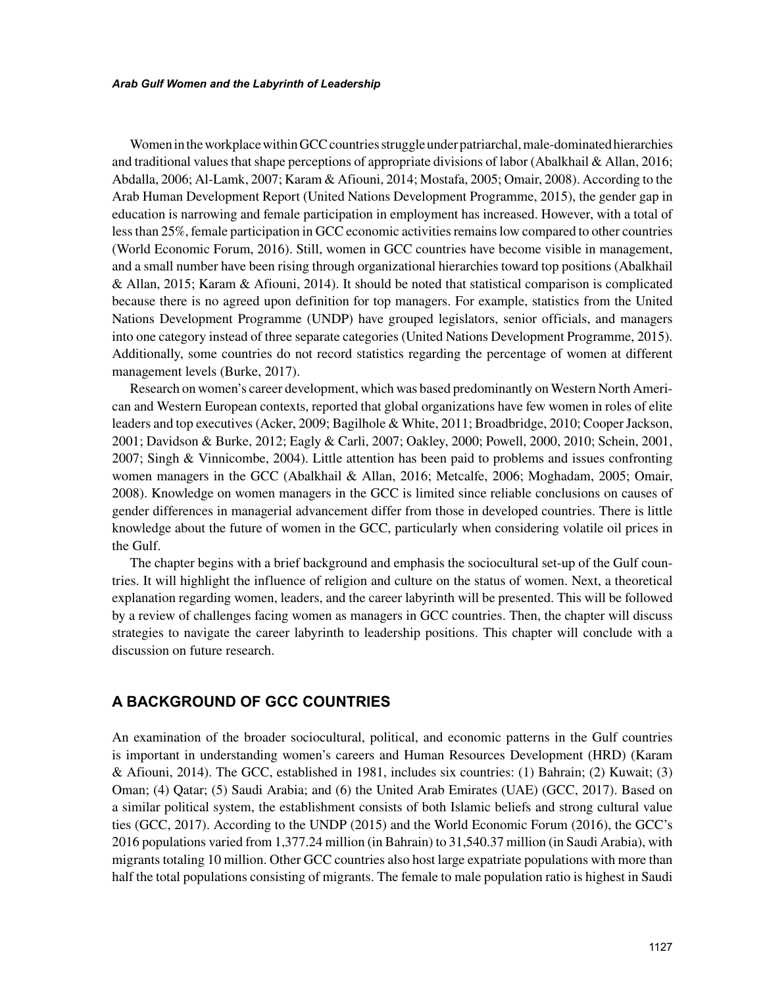Women in the workplace within GCC countries struggle under patriarchal, male-dominated hierarchies and traditional values that shape perceptions of appropriate divisions of labor (Abalkhail & Allan, 2016; Abdalla, 2006; Al-Lamk, 2007; Karam & Afiouni, 2014; Mostafa, 2005; Omair, 2008). According to the Arab Human Development Report (United Nations Development Programme, 2015), the gender gap in education is narrowing and female participation in employment has increased. However, with a total of less than 25%, female participation in GCC economic activities remains low compared to other countries (World Economic Forum, 2016). Still, women in GCC countries have become visible in management, and a small number have been rising through organizational hierarchies toward top positions (Abalkhail & Allan, 2015; Karam & Afiouni, 2014). It should be noted that statistical comparison is complicated because there is no agreed upon definition for top managers. For example, statistics from the United Nations Development Programme (UNDP) have grouped legislators, senior officials, and managers into one category instead of three separate categories (United Nations Development Programme, 2015). Additionally, some countries do not record statistics regarding the percentage of women at different management levels (Burke, 2017).

Research on women's career development, which was based predominantly on Western North American and Western European contexts, reported that global organizations have few women in roles of elite leaders and top executives (Acker, 2009; Bagilhole & White, 2011; Broadbridge, 2010; Cooper Jackson, 2001; Davidson & Burke, 2012; Eagly & Carli, 2007; Oakley, 2000; Powell, 2000, 2010; Schein, 2001, 2007; Singh & Vinnicombe, 2004). Little attention has been paid to problems and issues confronting women managers in the GCC (Abalkhail & Allan, 2016; Metcalfe, 2006; Moghadam, 2005; Omair, 2008). Knowledge on women managers in the GCC is limited since reliable conclusions on causes of gender differences in managerial advancement differ from those in developed countries. There is little knowledge about the future of women in the GCC, particularly when considering volatile oil prices in the Gulf.

The chapter begins with a brief background and emphasis the sociocultural set-up of the Gulf countries. It will highlight the influence of religion and culture on the status of women. Next, a theoretical explanation regarding women, leaders, and the career labyrinth will be presented. This will be followed by a review of challenges facing women as managers in GCC countries. Then, the chapter will discuss strategies to navigate the career labyrinth to leadership positions. This chapter will conclude with a discussion on future research.

# **A BACKGROUND OF GCC COUNTRIES**

An examination of the broader sociocultural, political, and economic patterns in the Gulf countries is important in understanding women's careers and Human Resources Development (HRD) (Karam & Afiouni, 2014). The GCC, established in 1981, includes six countries: (1) Bahrain; (2) Kuwait; (3) Oman; (4) Qatar; (5) Saudi Arabia; and (6) the United Arab Emirates (UAE) (GCC, 2017). Based on a similar political system, the establishment consists of both Islamic beliefs and strong cultural value ties (GCC, 2017). According to the UNDP (2015) and the World Economic Forum (2016), the GCC's 2016 populations varied from 1,377.24 million (in Bahrain) to 31,540.37 million (in Saudi Arabia), with migrants totaling 10 million. Other GCC countries also host large expatriate populations with more than half the total populations consisting of migrants. The female to male population ratio is highest in Saudi